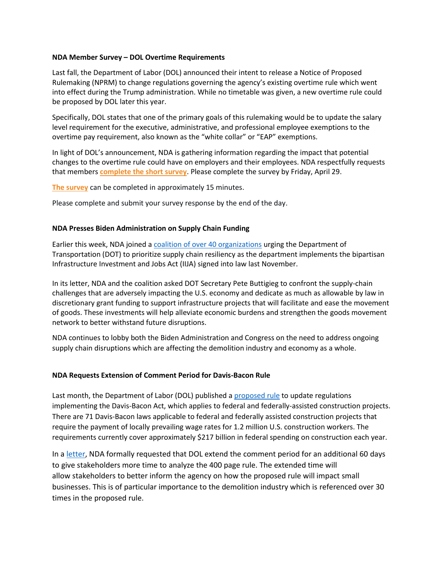## **NDA Member Survey – DOL Overtime Requirements**

Last fall, the Department of Labor (DOL) announced their intent to release a Notice of Proposed Rulemaking (NPRM) to change regulations governing the agency's existing overtime rule which went into effect during the Trump administration. While no timetable was given, a new overtime rule could be proposed by DOL later this year.

Specifically, DOL states that one of the primary goals of this rulemaking would be to update the salary level requirement for the executive, administrative, and professional employee exemptions to the overtime pay requirement, also known as the "white collar" or "EAP" exemptions.

In light of DOL's announcement, NDA is gathering information regarding the impact that potential changes to the overtime rule could have on employers and their employees. NDA respectfully requests that members **[complete the short survey](https://docs.google.com/forms/d/e/1FAIpQLSdTGDTMw3VShxH5mCW8FmEcRJx_rTDTE_1P6bC-XBkGsRvzzA/viewform)**. Please complete the survey by Friday, April 29.

**[The survey](https://docs.google.com/forms/d/e/1FAIpQLSdTGDTMw3VShxH5mCW8FmEcRJx_rTDTE_1P6bC-XBkGsRvzzA/viewform)** can be completed in approximately 15 minutes.

Please complete and submit your survey response by the end of the day.

## **NDA Presses Biden Administration on Supply Chain Funding**

Earlier this week, NDA joined a [coalition of over 40 organizations](https://www.demolitionassociation.com/Portals/0/Supply%20Chain%20Coalition%20Letter%20to%20DOT_FINAL.pdf) urging the Department of Transportation (DOT) to prioritize supply chain resiliency as the department implements the bipartisan Infrastructure Investment and Jobs Act (IIJA) signed into law last November.

In its letter, NDA and the coalition asked DOT Secretary Pete Buttigieg to confront the supply-chain challenges that are adversely impacting the U.S. economy and dedicate as much as allowable by law in discretionary grant funding to support infrastructure projects that will facilitate and ease the movement of goods. These investments will help alleviate economic burdens and strengthen the goods movement network to better withstand future disruptions.

NDA continues to lobby both the Biden Administration and Congress on the need to address ongoing supply chain disruptions which are affecting the demolition industry and economy as a whole.

## **NDA Requests Extension of Comment Period for Davis-Bacon Rule**

Last month, the Department of Labor (DOL) published a [proposed rule](https://www.federalregister.gov/documents/2022/03/18/2022-05346/updating-the-davis-bacon-and-related-acts-regulations?utm_medium=email&utm_source=govdelivery) to update regulations implementing the Davis-Bacon Act, which applies to federal and federally-assisted construction projects. There are 71 Davis-Bacon laws applicable to federal and federally assisted construction projects that require the payment of locally prevailing wage rates for 1.2 million U.S. construction workers. The requirements currently cover approximately \$217 billion in federal spending on construction each year.

In [a letter,](https://www.demolitionassociation.com/Portals/0/NDA%20Extension%20Request%20of%20DBRA%20Comment%20Period_FINAL.pdf) NDA formally requested that DOL extend the comment period for an additional 60 days to give stakeholders more time to analyze the 400 page rule. The extended time will allow stakeholders to better inform the agency on how the proposed rule will impact small businesses. This is of particular importance to the demolition industry which is referenced over 30 times in the proposed rule.